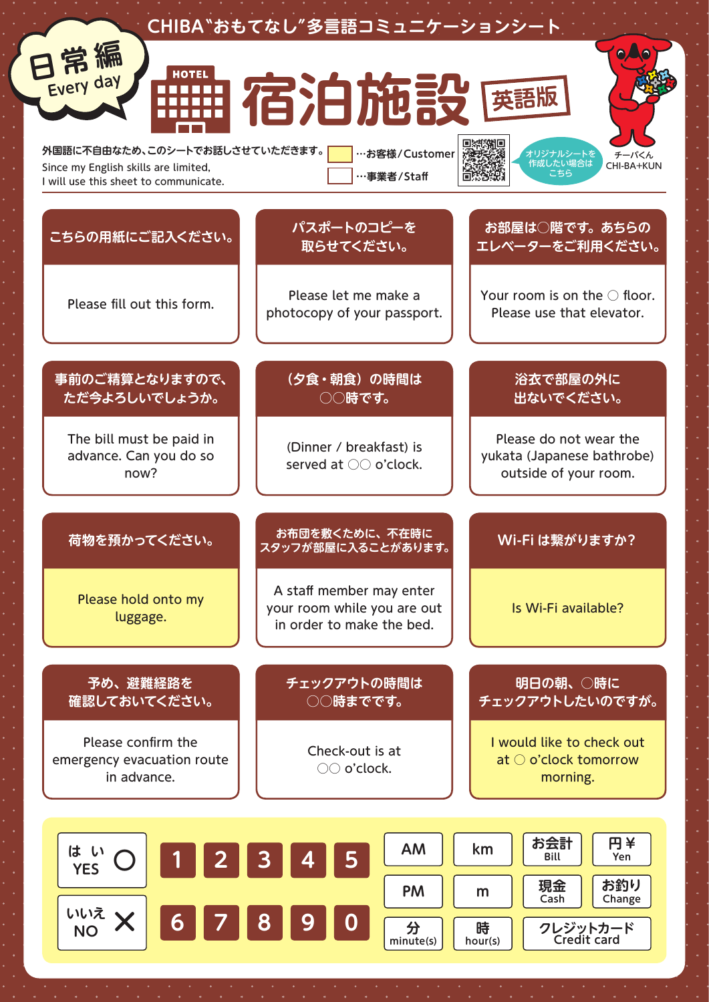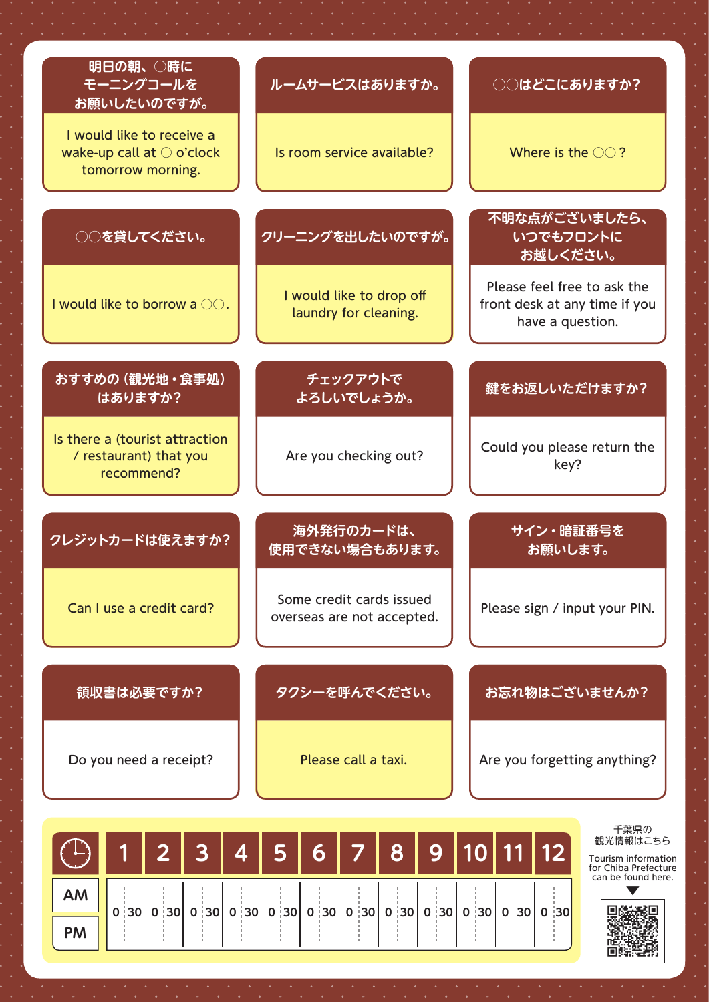| 明日の朝、○時に<br>モーニングコールを<br>お願いしたいのですが。                                                 | ルームサービスはありますか。                                         | ○○はどこにありますか?                                                                     |
|--------------------------------------------------------------------------------------|--------------------------------------------------------|----------------------------------------------------------------------------------|
| I would like to receive a<br>wake-up call at $\bigcirc$ o'clock<br>tomorrow morning. | Is room service available?                             | Where is the $\bigcirc$ ?                                                        |
| ○○を貸してください。                                                                          | クリーニングを出したいのですが。                                       | 不明な点がございましたら、<br>いつでもフロントに<br>お越しください。                                           |
| I would like to borrow a OO.                                                         | I would like to drop off<br>laundry for cleaning.      | Please feel free to ask the<br>front desk at any time if you<br>have a question. |
| おすすめの (観光地・食事処)<br>はありますか?                                                           | チェックアウトで<br>よろしいでしょうか。                                 | 鍵をお返しいただけますか?                                                                    |
| Is there a (tourist attraction<br>/ restaurant) that you<br>recommend?               | Are you checking out?                                  | Could you please return the<br>key?                                              |
| クレジットカードは使えますか?                                                                      | 海外発行のカードは、<br>使用できない場合もあります。                           | サイン・暗証番号を<br>お願いします。                                                             |
| Can I use a credit card?                                                             | Some credit cards issued<br>overseas are not accepted. | Please sign / input your PIN.                                                    |
| 領収書は必要ですか?                                                                           | タクシーを呼んでください。                                          | お忘れ物はございませんか?                                                                    |
| Do you need a receipt?                                                               | Please call a taxi.                                    | Are you forgetting anything?                                                     |
| 4<br>$\mathbf{2}$<br>3                                                               | 8<br>9<br>6                                            | 千葉県の<br>観光情報はこちら<br>10 11 12<br>Tourism information<br>for Chiba Prefecture      |

 **30 0 30 0 30 0 30 0 30 0 30 0 30 0 30 0 30 0 30 0 30 0 30 0**

can be found here.



ىمىسا **AM**

**PM**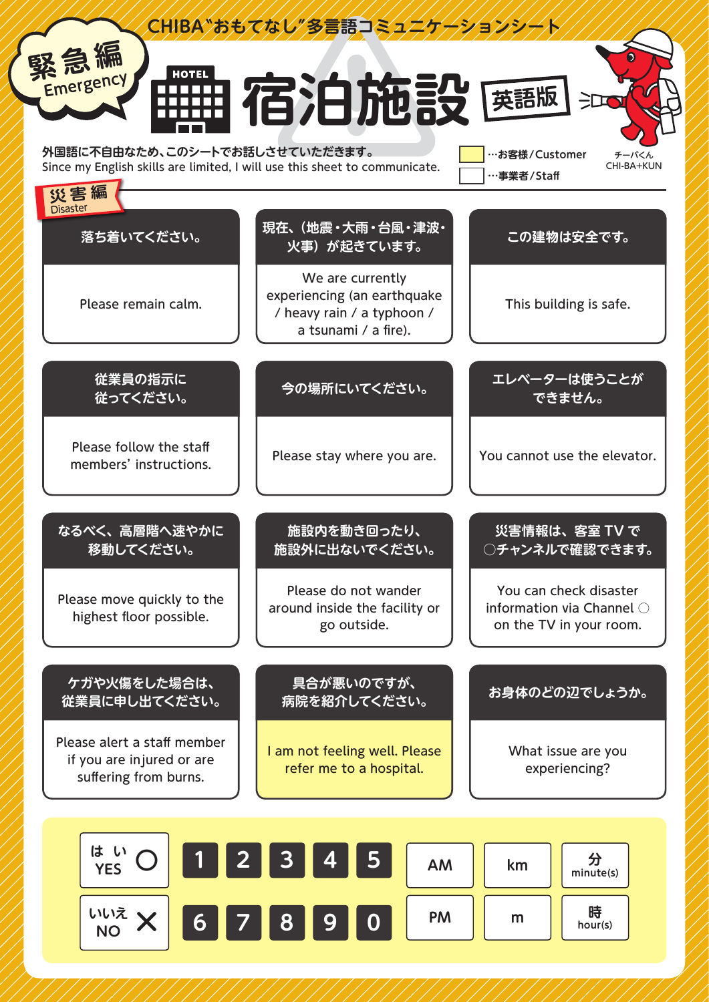